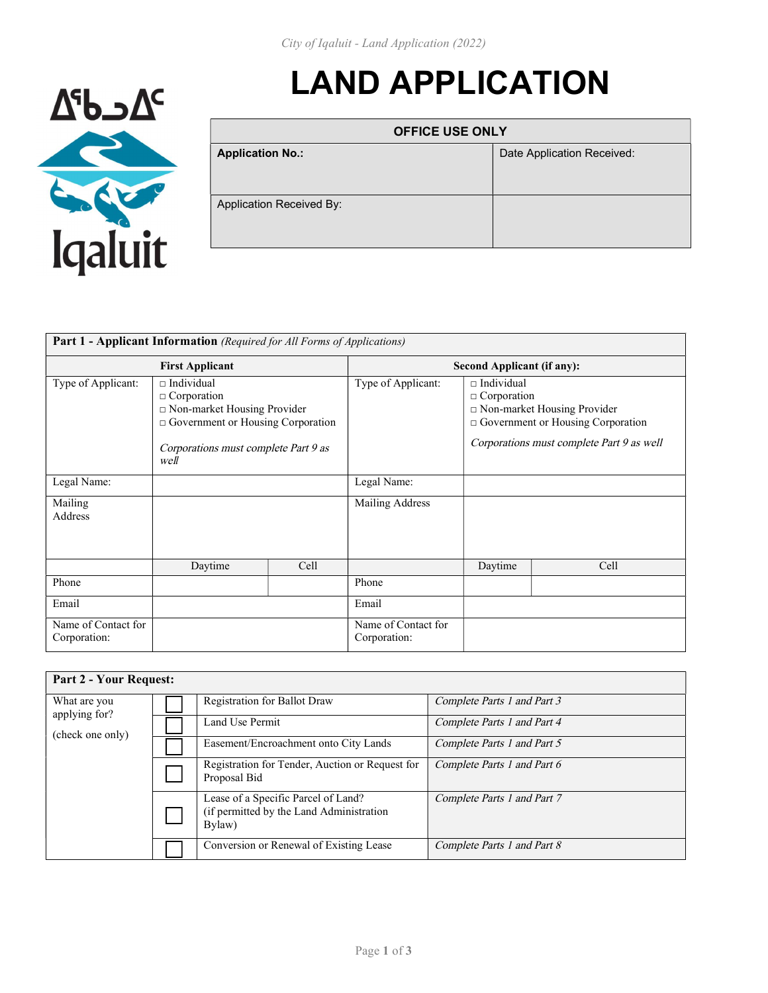

| <b>OFFICE USE ONLY</b>   |                            |  |  |
|--------------------------|----------------------------|--|--|
| <b>Application No.:</b>  | Date Application Received: |  |  |
| Application Received By: |                            |  |  |

LAND APPLICATION

| <b>Part 1 - Applicant Information</b> (Required for All Forms of Applications) |                                                                                                                                                                 |                                   |                                     |                                                                                                                                                                   |      |
|--------------------------------------------------------------------------------|-----------------------------------------------------------------------------------------------------------------------------------------------------------------|-----------------------------------|-------------------------------------|-------------------------------------------------------------------------------------------------------------------------------------------------------------------|------|
| <b>First Applicant</b>                                                         |                                                                                                                                                                 | <b>Second Applicant (if any):</b> |                                     |                                                                                                                                                                   |      |
| Type of Applicant:                                                             | $\sqcap$ Individual<br>$\Box$ Corporation<br>□ Non-market Housing Provider<br>Government or Housing Corporation<br>Corporations must complete Part 9 as<br>well |                                   | Type of Applicant:                  | $\sqcap$ Individual<br>$\Box$ Corporation<br>$\Box$ Non-market Housing Provider<br>Government or Housing Corporation<br>Corporations must complete Part 9 as well |      |
| Legal Name:                                                                    |                                                                                                                                                                 |                                   | Legal Name:                         |                                                                                                                                                                   |      |
| Mailing<br>Address                                                             |                                                                                                                                                                 |                                   | Mailing Address                     |                                                                                                                                                                   |      |
|                                                                                | Daytime                                                                                                                                                         | Cell                              |                                     | Daytime                                                                                                                                                           | Cell |
| Phone                                                                          |                                                                                                                                                                 |                                   | Phone                               |                                                                                                                                                                   |      |
| Email                                                                          |                                                                                                                                                                 |                                   | Email                               |                                                                                                                                                                   |      |
| Name of Contact for<br>Corporation:                                            |                                                                                                                                                                 |                                   | Name of Contact for<br>Corporation: |                                                                                                                                                                   |      |

| <b>Part 2 - Your Request:</b> |                                                                                           |                             |
|-------------------------------|-------------------------------------------------------------------------------------------|-----------------------------|
| What are you<br>applying for? | Registration for Ballot Draw                                                              | Complete Parts 1 and Part 3 |
| (check one only)              | Land Use Permit                                                                           | Complete Parts 1 and Part 4 |
|                               | Easement/Encroachment onto City Lands                                                     | Complete Parts 1 and Part 5 |
|                               | Registration for Tender, Auction or Request for<br>Proposal Bid                           | Complete Parts 1 and Part 6 |
|                               | Lease of a Specific Parcel of Land?<br>(if permitted by the Land Administration<br>Bylaw) | Complete Parts 1 and Part 7 |
|                               | Conversion or Renewal of Existing Lease                                                   | Complete Parts 1 and Part 8 |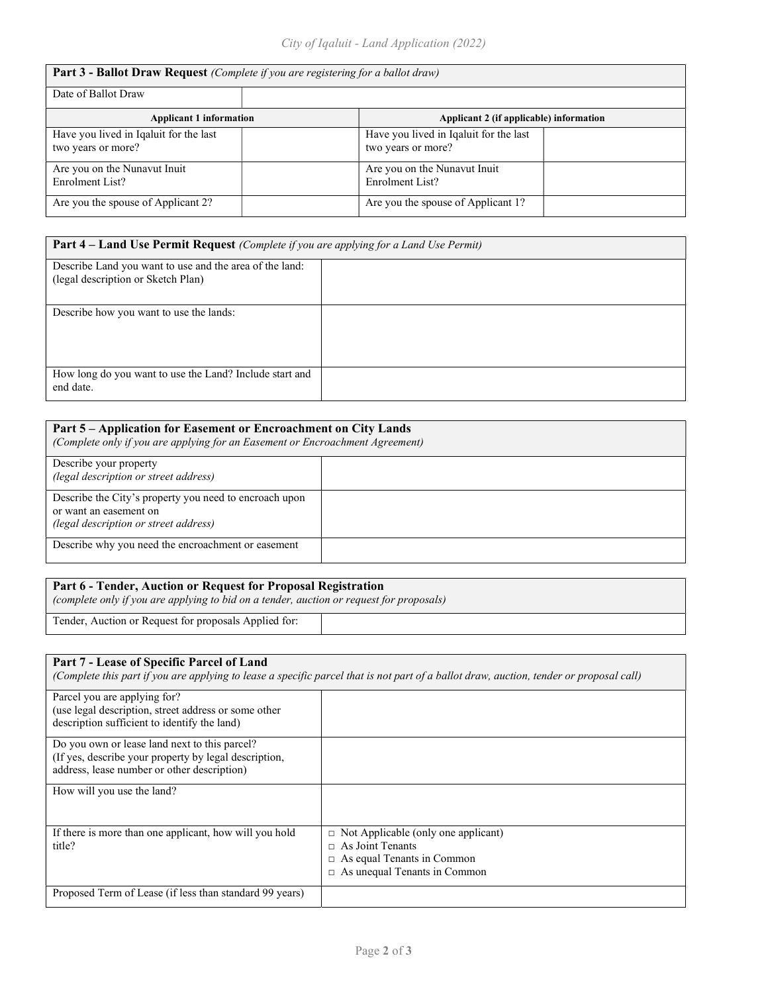| <b>Part 3 - Ballot Draw Request</b> (Complete if you are registering for a ballot draw) |  |                                                              |  |
|-----------------------------------------------------------------------------------------|--|--------------------------------------------------------------|--|
| Date of Ballot Draw                                                                     |  |                                                              |  |
| <b>Applicant 1 information</b>                                                          |  | Applicant 2 (if applicable) information                      |  |
| Have you lived in Iqaluit for the last<br>two years or more?                            |  | Have you lived in Iqaluit for the last<br>two years or more? |  |
| Are you on the Nunavut Inuit<br>Enrolment List?                                         |  | Are you on the Nunavut Inuit<br>Enrolment List?              |  |
| Are you the spouse of Applicant 2?                                                      |  | Are you the spouse of Applicant 1?                           |  |

| <b>Part 4 – Land Use Permit Request</b> (Complete if you are applying for a Land Use Permit)  |  |
|-----------------------------------------------------------------------------------------------|--|
| Describe Land you want to use and the area of the land:<br>(legal description or Sketch Plan) |  |
| Describe how you want to use the lands:                                                       |  |
| How long do you want to use the Land? Include start and<br>end date.                          |  |

| Part 5 – Application for Easement or Encroachment on City Lands<br>(Complete only if you are applying for an Easement or Encroachment Agreement) |  |  |
|--------------------------------------------------------------------------------------------------------------------------------------------------|--|--|
| Describe your property<br>(legal description or street address)                                                                                  |  |  |
| Describe the City's property you need to encroach upon<br>or want an easement on<br>(legal description or street address)                        |  |  |
| Describe why you need the encroachment or easement                                                                                               |  |  |

## Part 6 - Tender, Auction or Request for Proposal Registration

(complete only if you are applying to bid on a tender, auction or request for proposals)

Tender, Auction or Request for proposals Applied for:

| Part 7 - Lease of Specific Parcel of Land                                                                                                             | (Complete this part if you are applying to lease a specific parcel that is not part of a ballot draw, auction, tender or proposal call)           |
|-------------------------------------------------------------------------------------------------------------------------------------------------------|---------------------------------------------------------------------------------------------------------------------------------------------------|
| Parcel you are applying for?<br>(use legal description, street address or some other<br>description sufficient to identify the land)                  |                                                                                                                                                   |
| Do you own or lease land next to this parcel?<br>(If yes, describe your property by legal description,<br>address, lease number or other description) |                                                                                                                                                   |
| How will you use the land?                                                                                                                            |                                                                                                                                                   |
| If there is more than one applicant, how will you hold<br>title?                                                                                      | $\Box$ Not Applicable (only one applicant)<br>$\Box$ As Joint Tenants<br>$\Box$ As equal Tenants in Common<br>$\Box$ As unequal Tenants in Common |
| Proposed Term of Lease (if less than standard 99 years)                                                                                               |                                                                                                                                                   |